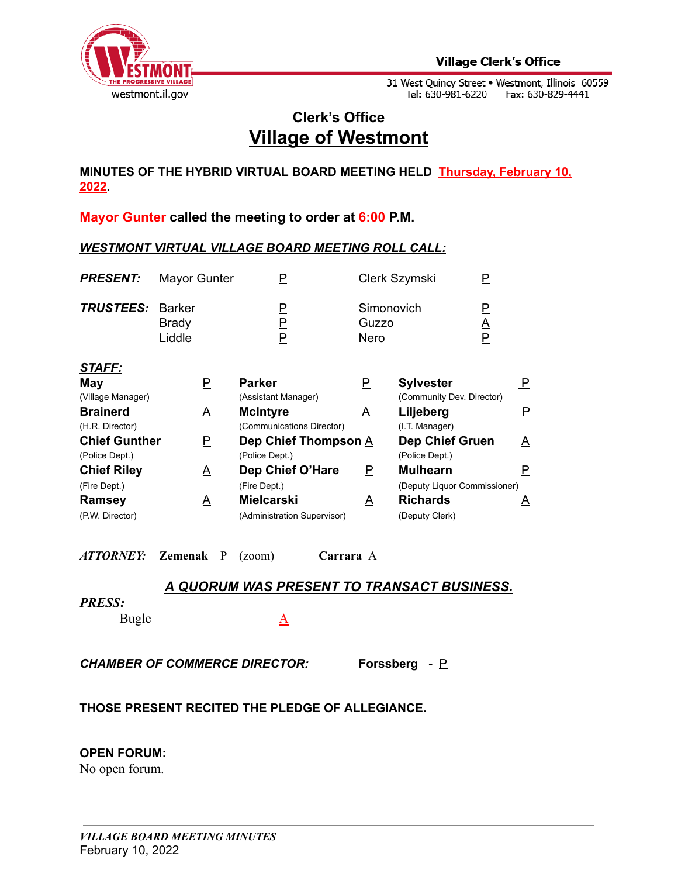

# **Clerk's Office Village of Westmont**

**MINUTES OF THE HYBRID VIRTUAL BOARD MEETING HELD Thursday, February 10, 2022.**

**Mayor Gunter called the meeting to order at 6:00 P.M.**

#### *WESTMONT VIRTUAL VILLAGE BOARD MEETING ROLL CALL:*

| <b>Duato cool</b>                  | $\mathbf{A}$           | <b>BA</b> a list case                | $\mathbf{v}$  | li di la la antar                             |                    | n |
|------------------------------------|------------------------|--------------------------------------|---------------|-----------------------------------------------|--------------------|---|
| STAFF:<br>May<br>(Village Manager) | Р                      | <b>Parker</b><br>(Assistant Manager) | P             | <b>Sylvester</b><br>(Community Dev. Director) |                    | P |
| <b>TRUSTEES: Barker</b>            | <b>Brady</b><br>Liddle | P<br>Р                               | Guzzo<br>Nero | Simonovich                                    | P<br><u>А</u><br>P |   |
| <b>PRESENT:</b>                    | Mayor Gunter           | Р                                    |               | Clerk Szymski                                 | P                  |   |

| (Village Manager)    |          | (Assistant Manager)         |          | (Community Dev. Director)    |          |
|----------------------|----------|-----------------------------|----------|------------------------------|----------|
| <b>Brainerd</b>      | A        | <b>McIntyre</b>             | A        | Liljeberg                    |          |
| (H.R. Director)      |          | (Communications Director)   |          | (I.T. Manager)               |          |
| <b>Chief Gunther</b> | Р        | Dep Chief Thompson A        |          | Dep Chief Gruen              | <u>A</u> |
| (Police Dept.)       |          | (Police Dept.)              |          | (Police Dept.)               |          |
| <b>Chief Riley</b>   | <u>А</u> | Dep Chief O'Hare            | P        | <b>Mulhearn</b>              |          |
| (Fire Dept.)         |          | (Fire Dept.)                |          | (Deputy Liquor Commissioner) |          |
| <b>Ramsey</b>        | A        | <b>Mielcarski</b>           | <u>A</u> | <b>Richards</b>              | A        |
| (P.W. Director)      |          | (Administration Supervisor) |          | (Deputy Clerk)               |          |

*ATTORNEY:* Zemenak  $\underline{P}$  (zoom) Carrara  $\underline{A}$ 

## *A QUORUM WAS PRESENT TO TRANSACT BUSINESS.*

#### *PRESS:*

Bugle A

*CHAMBER OF COMMERCE DIRECTOR:* **Forssberg** *-* P

## **THOSE PRESENT RECITED THE PLEDGE OF ALLEGIANCE.**

#### **OPEN FORUM:**

No open forum.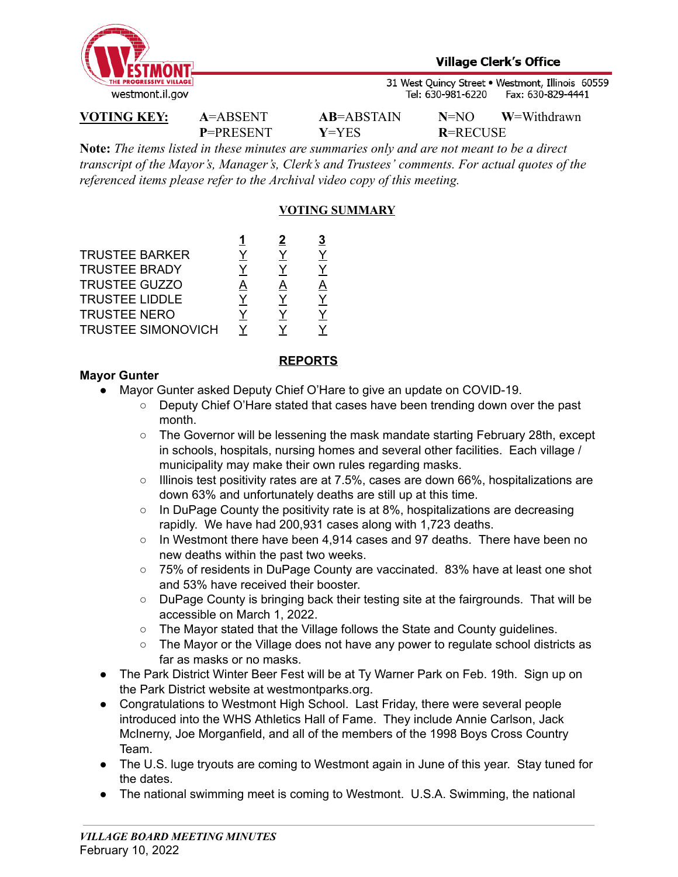

**P**=PRESENT **Y**=YES **R**=RECUSE

**VOTING KEY: A**=ABSENT **AB**=ABSTAIN **N**=NO **W**=Withdrawn

**Note:** *The items listed in these minutes are summaries only and are not meant to be a direct transcript of the Mayor's, Manager's, Clerk's and Trustees' comments. For actual quotes of the referenced items please refer to the Archival video copy of this meeting.*

## **VOTING SUMMARY**

|   | 2 | 3 |
|---|---|---|
|   |   |   |
|   |   |   |
| A | A | A |
|   |   |   |
|   |   |   |
|   |   |   |
|   |   |   |

### **REPORTS**

## **Mayor Gunter**

- Mayor Gunter asked Deputy Chief O'Hare to give an update on COVID-19.
	- Deputy Chief O'Hare stated that cases have been trending down over the past month.
	- The Governor will be lessening the mask mandate starting February 28th, except in schools, hospitals, nursing homes and several other facilities. Each village / municipality may make their own rules regarding masks.
	- Illinois test positivity rates are at 7.5%, cases are down 66%, hospitalizations are down 63% and unfortunately deaths are still up at this time.
	- $\circ$  In DuPage County the positivity rate is at 8%, hospitalizations are decreasing rapidly. We have had 200,931 cases along with 1,723 deaths.
	- $\circ$  In Westmont there have been 4,914 cases and 97 deaths. There have been no new deaths within the past two weeks.
	- 75% of residents in DuPage County are vaccinated. 83% have at least one shot and 53% have received their booster.
	- DuPage County is bringing back their testing site at the fairgrounds. That will be accessible on March 1, 2022.
	- The Mayor stated that the Village follows the State and County guidelines.
	- The Mayor or the Village does not have any power to regulate school districts as far as masks or no masks.
- **●** The Park District Winter Beer Fest will be at Ty Warner Park on Feb. 19th. Sign up on the Park District website at westmontparks.org.
- Congratulations to Westmont High School. Last Friday, there were several people introduced into the WHS Athletics Hall of Fame. They include Annie Carlson, Jack McInerny, Joe Morganfield, and all of the members of the 1998 Boys Cross Country Team.
- The U.S. luge tryouts are coming to Westmont again in June of this year. Stay tuned for the dates.
- The national swimming meet is coming to Westmont. U.S.A. Swimming, the national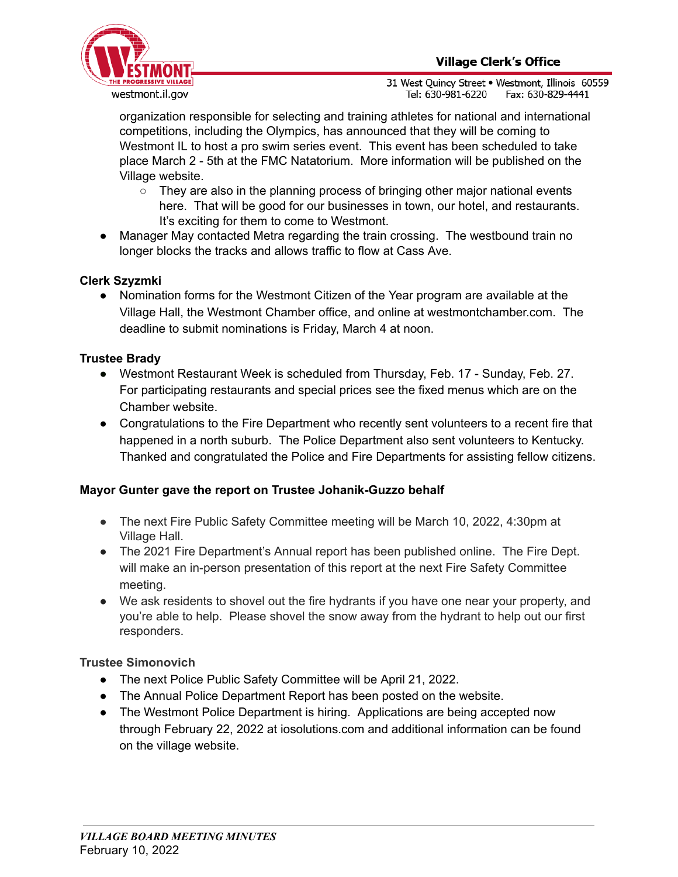

organization responsible for selecting and training athletes for national and international competitions, including the Olympics, has announced that they will be coming to Westmont IL to host a pro swim series event. This event has been scheduled to take place March 2 - 5th at the FMC Natatorium. More information will be published on the Village website.

- $\circ$  They are also in the planning process of bringing other major national events here. That will be good for our businesses in town, our hotel, and restaurants. It's exciting for them to come to Westmont.
- Manager May contacted Metra regarding the train crossing. The westbound train no longer blocks the tracks and allows traffic to flow at Cass Ave.

## **Clerk Szyzmki**

● Nomination forms for the Westmont Citizen of the Year program are available at the Village Hall, the Westmont Chamber office, and online at westmontchamber.com. The deadline to submit nominations is Friday, March 4 at noon.

## **Trustee Brady**

- **●** Westmont Restaurant Week is scheduled from Thursday, Feb. 17 Sunday, Feb. 27. For participating restaurants and special prices see the fixed menus which are on the Chamber website.
- Congratulations to the Fire Department who recently sent volunteers to a recent fire that happened in a north suburb. The Police Department also sent volunteers to Kentucky. Thanked and congratulated the Police and Fire Departments for assisting fellow citizens.

## **Mayor Gunter gave the report on Trustee Johanik-Guzzo behalf**

- **●** The next Fire Public Safety Committee meeting will be March 10, 2022, 4:30pm at Village Hall.
- The 2021 Fire Department's Annual report has been published online. The Fire Dept. will make an in-person presentation of this report at the next Fire Safety Committee meeting.
- We ask residents to shovel out the fire hydrants if you have one near your property, and you're able to help. Please shovel the snow away from the hydrant to help out our first responders.

## **Trustee Simonovich**

- The next Police Public Safety Committee will be April 21, 2022.
- The Annual Police Department Report has been posted on the website.
- The Westmont Police Department is hiring. Applications are being accepted now through February 22, 2022 at iosolutions.com and additional information can be found on the village website.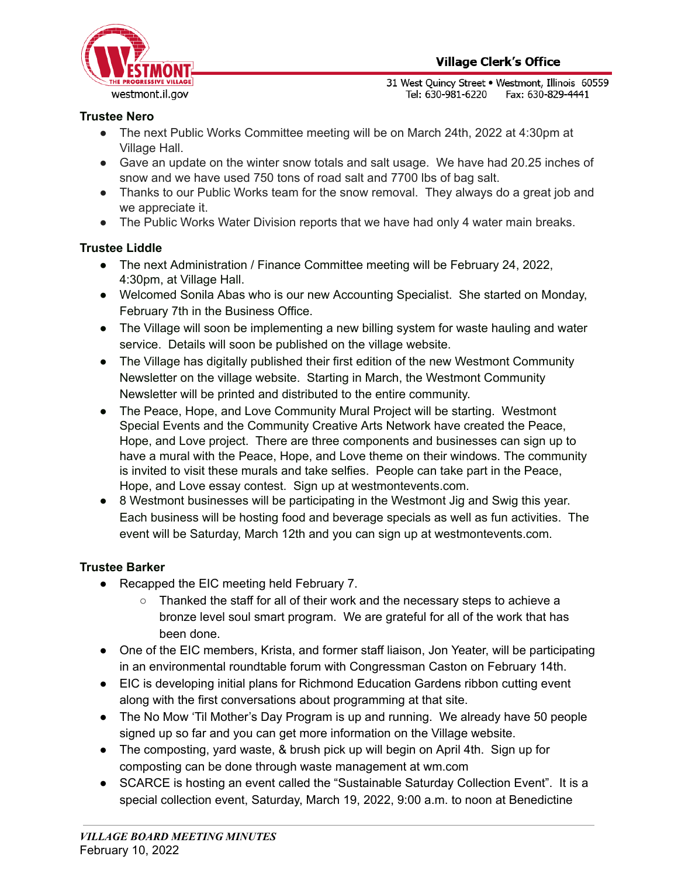

## **Trustee Nero**

- The next Public Works Committee meeting will be on March 24th, 2022 at 4:30pm at Village Hall.
- Gave an update on the winter snow totals and salt usage. We have had 20.25 inches of snow and we have used 750 tons of road salt and 7700 lbs of bag salt.
- Thanks to our Public Works team for the snow removal. They always do a great job and we appreciate it.
- The Public Works Water Division reports that we have had only 4 water main breaks.

## **Trustee Liddle**

- The next Administration / Finance Committee meeting will be February 24, 2022, 4:30pm, at Village Hall.
- Welcomed Sonila Abas who is our new Accounting Specialist. She started on Monday, February 7th in the Business Office.
- The Village will soon be implementing a new billing system for waste hauling and water service. Details will soon be published on the village website.
- The Village has digitally published their first edition of the new Westmont Community Newsletter on the village website. Starting in March, the Westmont Community Newsletter will be printed and distributed to the entire community.
- The Peace, Hope, and Love Community Mural Project will be starting. Westmont Special Events and the Community Creative Arts Network have created the Peace, Hope, and Love project. There are three components and businesses can sign up to have a mural with the Peace, Hope, and Love theme on their windows. The community is invited to visit these murals and take selfies. People can take part in the Peace, Hope, and Love essay contest. Sign up at westmontevents.com.
- 8 Westmont businesses will be participating in the Westmont Jig and Swig this year. Each business will be hosting food and beverage specials as well as fun activities. The event will be Saturday, March 12th and you can sign up at westmontevents.com.

## **Trustee Barker**

- Recapped the EIC meeting held February 7.
	- Thanked the staff for all of their work and the necessary steps to achieve a bronze level soul smart program. We are grateful for all of the work that has been done.
- One of the EIC members, Krista, and former staff liaison, Jon Yeater, will be participating in an environmental roundtable forum with Congressman Caston on February 14th.
- EIC is developing initial plans for Richmond Education Gardens ribbon cutting event along with the first conversations about programming at that site.
- The No Mow 'Til Mother's Day Program is up and running. We already have 50 people signed up so far and you can get more information on the Village website.
- The composting, yard waste, & brush pick up will begin on April 4th. Sign up for composting can be done through waste management at wm.com
- SCARCE is hosting an event called the "Sustainable Saturday Collection Event". It is a special collection event, Saturday, March 19, 2022, 9:00 a.m. to noon at Benedictine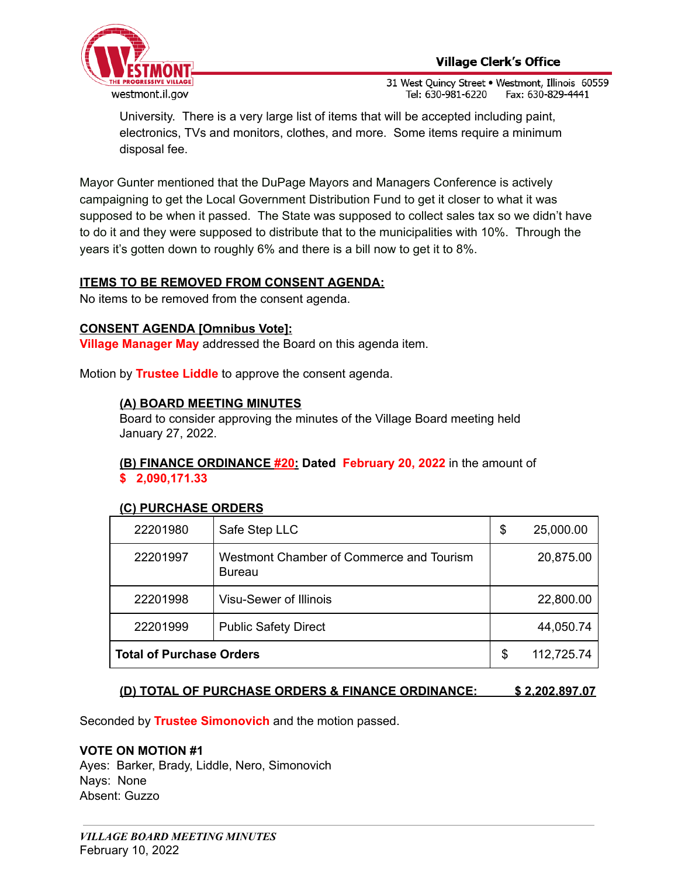

University. There is a very large list of items that will be accepted including paint, electronics, TVs and monitors, clothes, and more. Some items require a minimum disposal fee.

Mayor Gunter mentioned that the DuPage Mayors and Managers Conference is actively campaigning to get the Local Government Distribution Fund to get it closer to what it was supposed to be when it passed. The State was supposed to collect sales tax so we didn't have to do it and they were supposed to distribute that to the municipalities with 10%. Through the years it's gotten down to roughly 6% and there is a bill now to get it to 8%.

## **ITEMS TO BE REMOVED FROM CONSENT AGENDA:**

No items to be removed from the consent agenda.

#### **CONSENT AGENDA [Omnibus Vote]:**

**Village Manager May** addressed the Board on this agenda item.

Motion by **Trustee Liddle** to approve the consent agenda.

#### **(A) BOARD MEETING MINUTES**

Board to consider approving the minutes of the Village Board meeting held January 27, 2022.

### **(B) FINANCE ORDINANCE #20: Dated February 20, 2022** in the amount of **\$ 2,090,171.33**

#### **(C) PURCHASE ORDERS**

| 22201980                        | Safe Step LLC                                             | \$<br>25,000.00  |
|---------------------------------|-----------------------------------------------------------|------------------|
| 22201997                        | Westmont Chamber of Commerce and Tourism<br><b>Bureau</b> | 20,875.00        |
| 22201998                        | Visu-Sewer of Illinois                                    | 22,800.00        |
| 22201999                        | <b>Public Safety Direct</b>                               | 44,050.74        |
| <b>Total of Purchase Orders</b> |                                                           | \$<br>112,725.74 |

#### **(D) TOTAL OF PURCHASE ORDERS & FINANCE ORDINANCE: \$ 2,202,897.07**

Seconded by **Trustee Simonovich** and the motion passed.

#### **VOTE ON MOTION #1**

Ayes: Barker, Brady, Liddle, Nero, Simonovich Nays: None Absent: Guzzo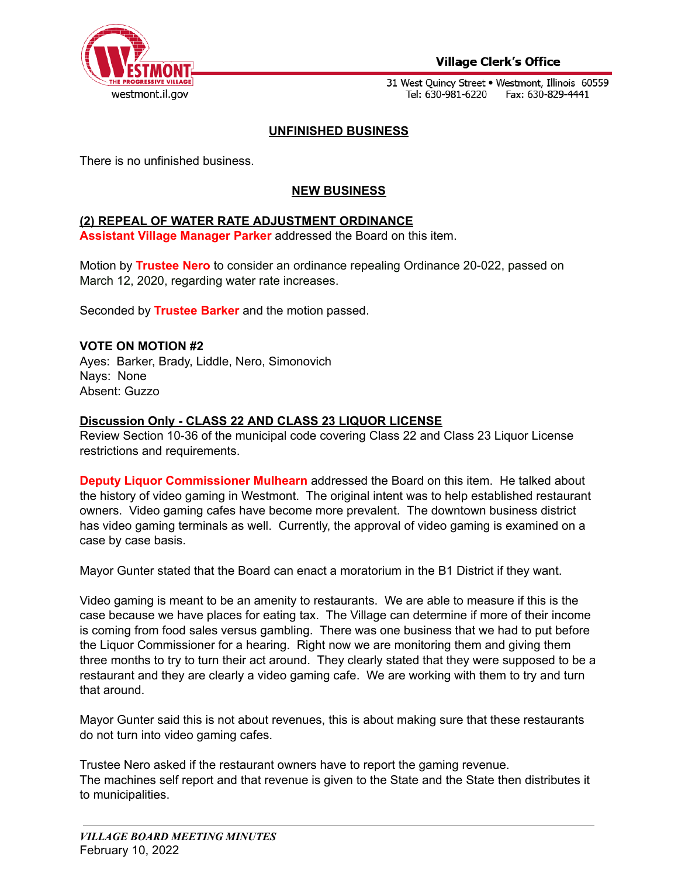

## **Village Clerk's Office**

31 West Quincy Street . Westmont, Illinois 60559 Tel: 630-981-6220 Fax: 630-829-4441

### **UNFINISHED BUSINESS**

There is no unfinished business.

## **NEW BUSINESS**

#### **(2) REPEAL OF WATER RATE ADJUSTMENT ORDINANCE**

**Assistant Village Manager Parker** addressed the Board on this item.

Motion by **Trustee Nero** to consider an ordinance repealing Ordinance 20-022, passed on March 12, 2020, regarding water rate increases.

Seconded by **Trustee Barker** and the motion passed.

#### **VOTE ON MOTION #2**

Ayes: Barker, Brady, Liddle, Nero, Simonovich Nays: None Absent: Guzzo

#### **Discussion Only - CLASS 22 AND CLASS 23 LIQUOR LICENSE**

Review Section 10-36 of the municipal code covering Class 22 and Class 23 Liquor License restrictions and requirements.

**Deputy Liquor Commissioner Mulhearn** addressed the Board on this item. He talked about the history of video gaming in Westmont. The original intent was to help established restaurant owners. Video gaming cafes have become more prevalent. The downtown business district has video gaming terminals as well. Currently, the approval of video gaming is examined on a case by case basis.

Mayor Gunter stated that the Board can enact a moratorium in the B1 District if they want.

Video gaming is meant to be an amenity to restaurants. We are able to measure if this is the case because we have places for eating tax. The Village can determine if more of their income is coming from food sales versus gambling. There was one business that we had to put before the Liquor Commissioner for a hearing. Right now we are monitoring them and giving them three months to try to turn their act around. They clearly stated that they were supposed to be a restaurant and they are clearly a video gaming cafe. We are working with them to try and turn that around.

Mayor Gunter said this is not about revenues, this is about making sure that these restaurants do not turn into video gaming cafes.

Trustee Nero asked if the restaurant owners have to report the gaming revenue. The machines self report and that revenue is given to the State and the State then distributes it to municipalities.